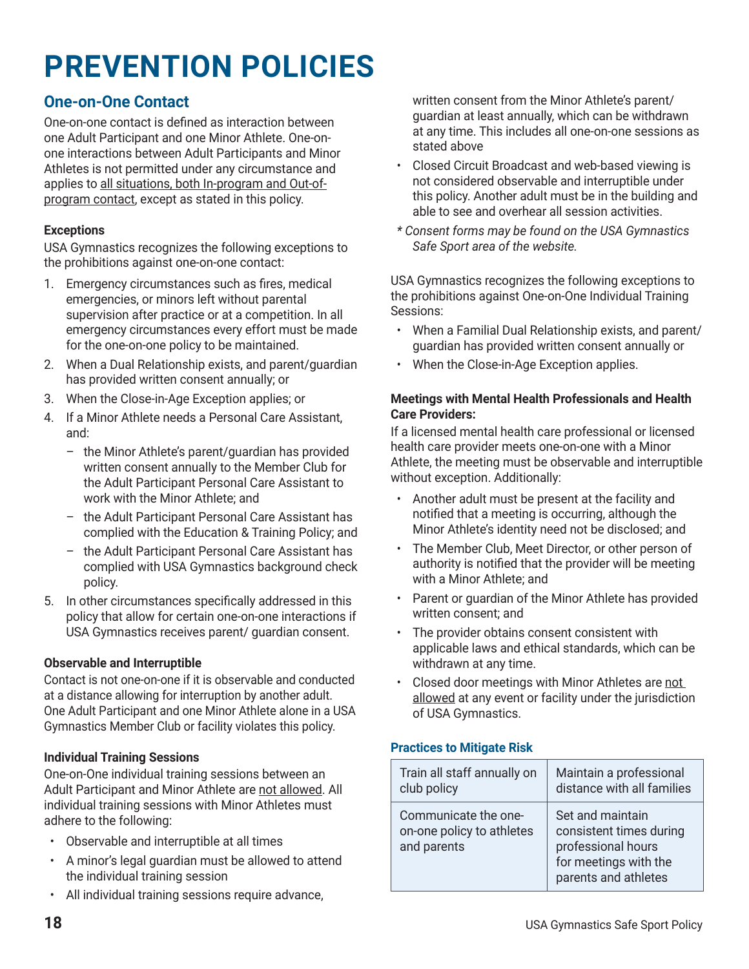# **One-on-One Contact**

One-on-one contact is defined as interaction between one Adult Participant and one Minor Athlete. One-onone interactions between Adult Participants and Minor Athletes is not permitted under any circumstance and applies to all situations, both In-program and Out-ofprogram contact, except as stated in this policy.

### **Exceptions**

USA Gymnastics recognizes the following exceptions to the prohibitions against one-on-one contact:

- 1. Emergency circumstances such as fires, medical emergencies, or minors left without parental supervision after practice or at a competition. In all emergency circumstances every effort must be made for the one-on-one policy to be maintained.
- 2. When a Dual Relationship exists, and parent/guardian has provided written consent annually; or
- 3. When the Close-in-Age Exception applies; or
- 4. If a Minor Athlete needs a Personal Care Assistant, and:
	- the Minor Athlete's parent/guardian has provided written consent annually to the Member Club for the Adult Participant Personal Care Assistant to work with the Minor Athlete; and
	- the Adult Participant Personal Care Assistant has complied with the Education & Training Policy; and
	- the Adult Participant Personal Care Assistant has complied with USA Gymnastics background check policy.
- 5. In other circumstances specifically addressed in this policy that allow for certain one-on-one interactions if USA Gymnastics receives parent/ guardian consent.

### **Observable and Interruptible**

Contact is not one-on-one if it is observable and conducted at a distance allowing for interruption by another adult. One Adult Participant and one Minor Athlete alone in a USA Gymnastics Member Club or facility violates this policy.

### **Individual Training Sessions**

One-on-One individual training sessions between an Adult Participant and Minor Athlete are not allowed. All individual training sessions with Minor Athletes must adhere to the following:

- Observable and interruptible at all times
- A minor's legal guardian must be allowed to attend the individual training session
- All individual training sessions require advance,

written consent from the Minor Athlete's parent/ guardian at least annually, which can be withdrawn at any time. This includes all one-on-one sessions as stated above

- Closed Circuit Broadcast and web-based viewing is not considered observable and interruptible under this policy. Another adult must be in the building and able to see and overhear all session activities.
- *\* Consent forms may be found on the USA Gymnastics Safe Sport area of the website.*

USA Gymnastics recognizes the following exceptions to the prohibitions against One-on-One Individual Training Sessions:

- When a Familial Dual Relationship exists, and parent/ guardian has provided written consent annually or
- When the Close-in-Age Exception applies.

#### **Meetings with Mental Health Professionals and Health Care Providers:**

If a licensed mental health care professional or licensed health care provider meets one-on-one with a Minor Athlete, the meeting must be observable and interruptible without exception. Additionally:

- Another adult must be present at the facility and notified that a meeting is occurring, although the Minor Athlete's identity need not be disclosed; and
- The Member Club, Meet Director, or other person of authority is notified that the provider will be meeting with a Minor Athlete; and
- Parent or guardian of the Minor Athlete has provided written consent; and
- The provider obtains consent consistent with applicable laws and ethical standards, which can be withdrawn at any time.
- Closed door meetings with Minor Athletes are not allowed at any event or facility under the jurisdiction of USA Gymnastics.

### **Practices to Mitigate Risk**

| Train all staff annually on                                      | Maintain a professional                                                                                            |
|------------------------------------------------------------------|--------------------------------------------------------------------------------------------------------------------|
| club policy                                                      | distance with all families                                                                                         |
| Communicate the one-<br>on-one policy to athletes<br>and parents | Set and maintain<br>consistent times during<br>professional hours<br>for meetings with the<br>parents and athletes |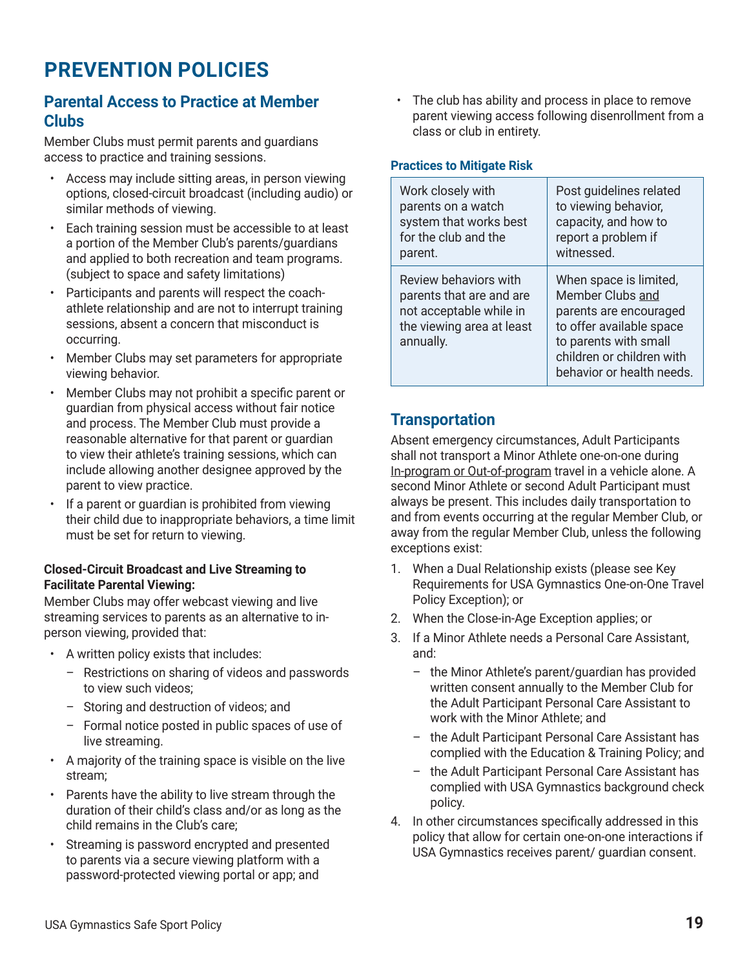# **Parental Access to Practice at Member Clubs**

Member Clubs must permit parents and guardians access to practice and training sessions.

- Access may include sitting areas, in person viewing options, closed-circuit broadcast (including audio) or similar methods of viewing.
- Each training session must be accessible to at least a portion of the Member Club's parents/guardians and applied to both recreation and team programs. (subject to space and safety limitations)
- Participants and parents will respect the coachathlete relationship and are not to interrupt training sessions, absent a concern that misconduct is occurring.
- Member Clubs may set parameters for appropriate viewing behavior.
- Member Clubs may not prohibit a specific parent or guardian from physical access without fair notice and process. The Member Club must provide a reasonable alternative for that parent or guardian to view their athlete's training sessions, which can include allowing another designee approved by the parent to view practice.
- If a parent or quardian is prohibited from viewing their child due to inappropriate behaviors, a time limit must be set for return to viewing.

### **Closed-Circuit Broadcast and Live Streaming to Facilitate Parental Viewing:**

Member Clubs may offer webcast viewing and live streaming services to parents as an alternative to inperson viewing, provided that:

- A written policy exists that includes:
	- Restrictions on sharing of videos and passwords to view such videos;
	- Storing and destruction of videos; and
	- Formal notice posted in public spaces of use of live streaming.
- A majority of the training space is visible on the live stream;
- Parents have the ability to live stream through the duration of their child's class and/or as long as the child remains in the Club's care;
- Streaming is password encrypted and presented to parents via a secure viewing platform with a password-protected viewing portal or app; and

• The club has ability and process in place to remove parent viewing access following disenrollment from a class or club in entirety.

### **Practices to Mitigate Risk**

| Work closely with                                                                                                      | Post guidelines related                                                                                                                                                             |
|------------------------------------------------------------------------------------------------------------------------|-------------------------------------------------------------------------------------------------------------------------------------------------------------------------------------|
| parents on a watch                                                                                                     | to viewing behavior,                                                                                                                                                                |
| system that works best                                                                                                 | capacity, and how to                                                                                                                                                                |
| for the club and the                                                                                                   | report a problem if                                                                                                                                                                 |
| parent.                                                                                                                | witnessed.                                                                                                                                                                          |
| Review behaviors with<br>parents that are and are<br>not acceptable while in<br>the viewing area at least<br>annually. | When space is limited,<br>Member Clubs and<br>parents are encouraged<br>to offer available space<br>to parents with small<br>children or children with<br>behavior or health needs. |

# **Transportation**

Absent emergency circumstances, Adult Participants shall not transport a Minor Athlete one-on-one during In-program or Out-of-program travel in a vehicle alone. A second Minor Athlete or second Adult Participant must always be present. This includes daily transportation to and from events occurring at the regular Member Club, or away from the regular Member Club, unless the following exceptions exist:

- 1. When a Dual Relationship exists (please see Key Requirements for USA Gymnastics One-on-One Travel Policy Exception); or
- 2. When the Close-in-Age Exception applies; or
- 3. If a Minor Athlete needs a Personal Care Assistant, and:
	- the Minor Athlete's parent/guardian has provided written consent annually to the Member Club for the Adult Participant Personal Care Assistant to work with the Minor Athlete; and
	- the Adult Participant Personal Care Assistant has complied with the Education & Training Policy; and
	- the Adult Participant Personal Care Assistant has complied with USA Gymnastics background check policy.
- 4. In other circumstances specifically addressed in this policy that allow for certain one-on-one interactions if USA Gymnastics receives parent/ guardian consent.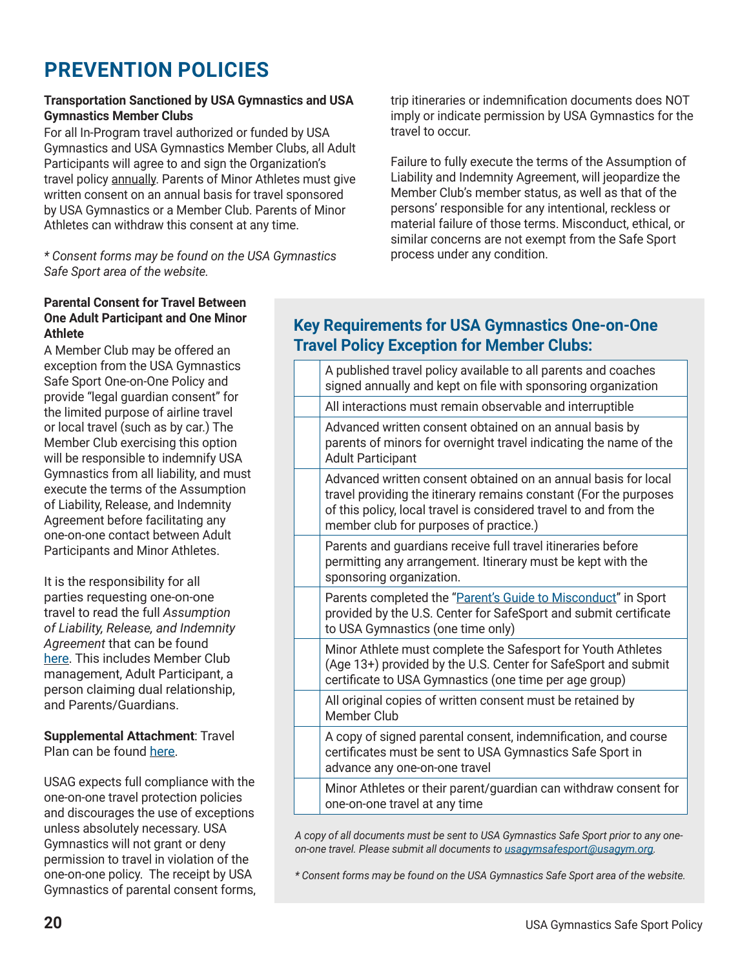### **Transportation Sanctioned by USA Gymnastics and USA Gymnastics Member Clubs**

For all In-Program travel authorized or funded by USA Gymnastics and USA Gymnastics Member Clubs, all Adult Participants will agree to and sign the Organization's travel policy annually. Parents of Minor Athletes must give written consent on an annual basis for travel sponsored by USA Gymnastics or a Member Club. Parents of Minor Athletes can withdraw this consent at any time.

*\* Consent forms may be found on the USA Gymnastics Safe Sport area of the website.*

trip itineraries or indemnification documents does NOT imply or indicate permission by USA Gymnastics for the travel to occur.

Failure to fully execute the terms of the Assumption of Liability and Indemnity Agreement, will jeopardize the Member Club's member status, as well as that of the persons' responsible for any intentional, reckless or material failure of those terms. Misconduct, ethical, or similar concerns are not exempt from the Safe Sport process under any condition.

#### **Parental Consent for Travel Between One Adult Participant and One Minor Athlete**

A Member Club may be offered an exception from the USA Gymnastics Safe Sport One-on-One Policy and provide "legal guardian consent" for the limited purpose of airline travel or local travel (such as by car.) The Member Club exercising this option will be responsible to indemnify USA Gymnastics from all liability, and must execute the terms of the Assumption of Liability, Release, and Indemnity Agreement before facilitating any one-on-one contact between Adult Participants and Minor Athletes.

It is the responsibility for all parties requesting one-on-one travel to read the full *Assumption of Liability, Release, and Indemnity Agreement* that can be found [here](https://usagym.org/PDFs/safesport/consent_indemnification.pdf). This includes Member Club management, Adult Participant, a person claiming dual relationship, and Parents/Guardians.

**Supplemental Attachment**: Travel Plan can be found [here](https://usagym.org/PDFs/safesport/consent_travelplan.pdf).

USAG expects full compliance with the one-on-one travel protection policies and discourages the use of exceptions unless absolutely necessary. USA Gymnastics will not grant or deny permission to travel in violation of the one-on-one policy. The receipt by USA Gymnastics of parental consent forms,

# **Key Requirements for USA Gymnastics One-on-One Travel Policy Exception for Member Clubs:**

| A published travel policy available to all parents and coaches<br>signed annually and kept on file with sponsoring organization                                                                                                                    |
|----------------------------------------------------------------------------------------------------------------------------------------------------------------------------------------------------------------------------------------------------|
| All interactions must remain observable and interruptible                                                                                                                                                                                          |
| Advanced written consent obtained on an annual basis by<br>parents of minors for overnight travel indicating the name of the<br><b>Adult Participant</b>                                                                                           |
| Advanced written consent obtained on an annual basis for local<br>travel providing the itinerary remains constant (For the purposes<br>of this policy, local travel is considered travel to and from the<br>member club for purposes of practice.) |
| Parents and guardians receive full travel itineraries before<br>permitting any arrangement. Itinerary must be kept with the<br>sponsoring organization.                                                                                            |
| Parents completed the "Parent's Guide to Misconduct" in Sport<br>provided by the U.S. Center for SafeSport and submit certificate<br>to USA Gymnastics (one time only)                                                                             |
| Minor Athlete must complete the Safesport for Youth Athletes<br>(Age 13+) provided by the U.S. Center for SafeSport and submit<br>certificate to USA Gymnastics (one time per age group)                                                           |
| All original copies of written consent must be retained by<br>Member Club                                                                                                                                                                          |
| A copy of signed parental consent, indemnification, and course<br>certificates must be sent to USA Gymnastics Safe Sport in<br>advance any one-on-one travel                                                                                       |
| Minor Athletes or their parent/guardian can withdraw consent for<br>one-on-one travel at any time                                                                                                                                                  |

*A copy of all documents must be sent to USA Gymnastics Safe Sport prior to any oneon-one travel. Please submit all documents to u[sagymsafesport@usagym.org](mailto:Safesportpolicy@usagym.org).* 

*\* Consent forms may be found on the USA Gymnastics Safe Sport area of the website.*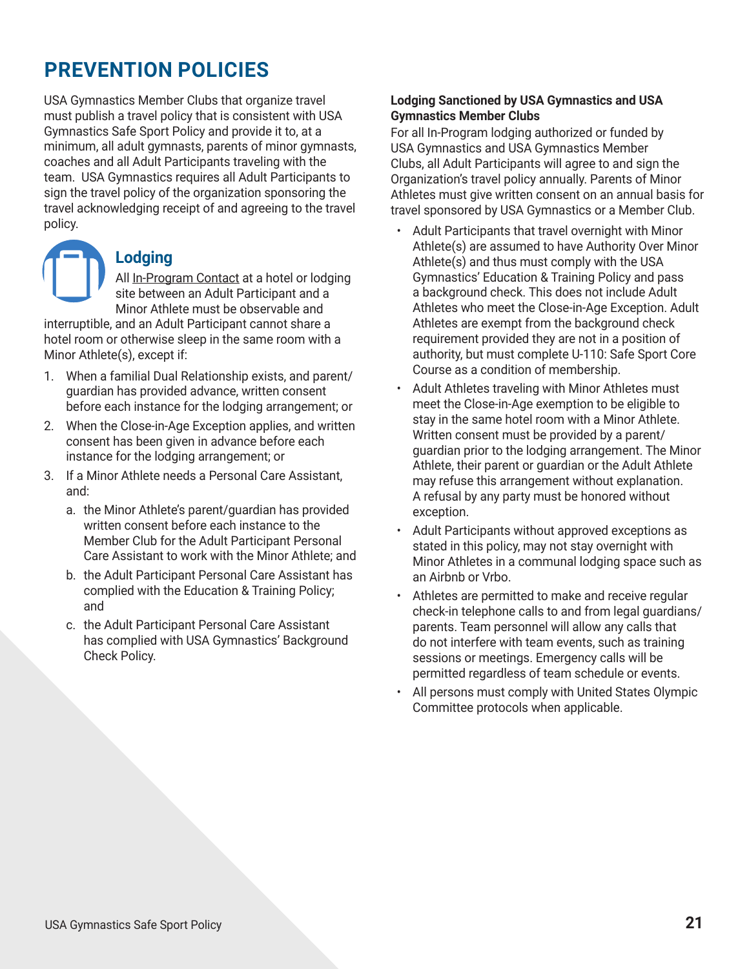USA Gymnastics Member Clubs that organize travel must publish a travel policy that is consistent with USA Gymnastics Safe Sport Policy and provide it to, at a minimum, all adult gymnasts, parents of minor gymnasts, coaches and all Adult Participants traveling with the team. USA Gymnastics requires all Adult Participants to sign the travel policy of the organization sponsoring the travel acknowledging receipt of and agreeing to the travel policy.

# **Lodging**

All In-Program Contact at a hotel or lodging site between an Adult Participant and a Minor Athlete must be observable and

interruptible, and an Adult Participant cannot share a hotel room or otherwise sleep in the same room with a Minor Athlete(s), except if:

- 1. When a familial Dual Relationship exists, and parent/ guardian has provided advance, written consent before each instance for the lodging arrangement; or
- 2. When the Close-in-Age Exception applies, and written consent has been given in advance before each instance for the lodging arrangement; or
- 3. If a Minor Athlete needs a Personal Care Assistant, and:
	- a. the Minor Athlete's parent/guardian has provided written consent before each instance to the Member Club for the Adult Participant Personal Care Assistant to work with the Minor Athlete; and
	- b. the Adult Participant Personal Care Assistant has complied with the Education & Training Policy; and
	- c. the Adult Participant Personal Care Assistant has complied with USA Gymnastics' Background Check Policy.

### **Lodging Sanctioned by USA Gymnastics and USA Gymnastics Member Clubs**

For all In-Program lodging authorized or funded by USA Gymnastics and USA Gymnastics Member Clubs, all Adult Participants will agree to and sign the Organization's travel policy annually. Parents of Minor Athletes must give written consent on an annual basis for travel sponsored by USA Gymnastics or a Member Club.

- Adult Participants that travel overnight with Minor Athlete(s) are assumed to have Authority Over Minor Athlete(s) and thus must comply with the USA Gymnastics' Education & Training Policy and pass a background check. This does not include Adult Athletes who meet the Close-in-Age Exception. Adult Athletes are exempt from the background check requirement provided they are not in a position of authority, but must complete U-110: Safe Sport Core Course as a condition of membership.
- Adult Athletes traveling with Minor Athletes must meet the Close-in-Age exemption to be eligible to stay in the same hotel room with a Minor Athlete. Written consent must be provided by a parent/ guardian prior to the lodging arrangement. The Minor Athlete, their parent or guardian or the Adult Athlete may refuse this arrangement without explanation. A refusal by any party must be honored without exception.
- Adult Participants without approved exceptions as stated in this policy, may not stay overnight with Minor Athletes in a communal lodging space such as an Airbnb or Vrbo.
- Athletes are permitted to make and receive regular check-in telephone calls to and from legal guardians/ parents. Team personnel will allow any calls that do not interfere with team events, such as training sessions or meetings. Emergency calls will be permitted regardless of team schedule or events.
- All persons must comply with United States Olympic Committee protocols when applicable.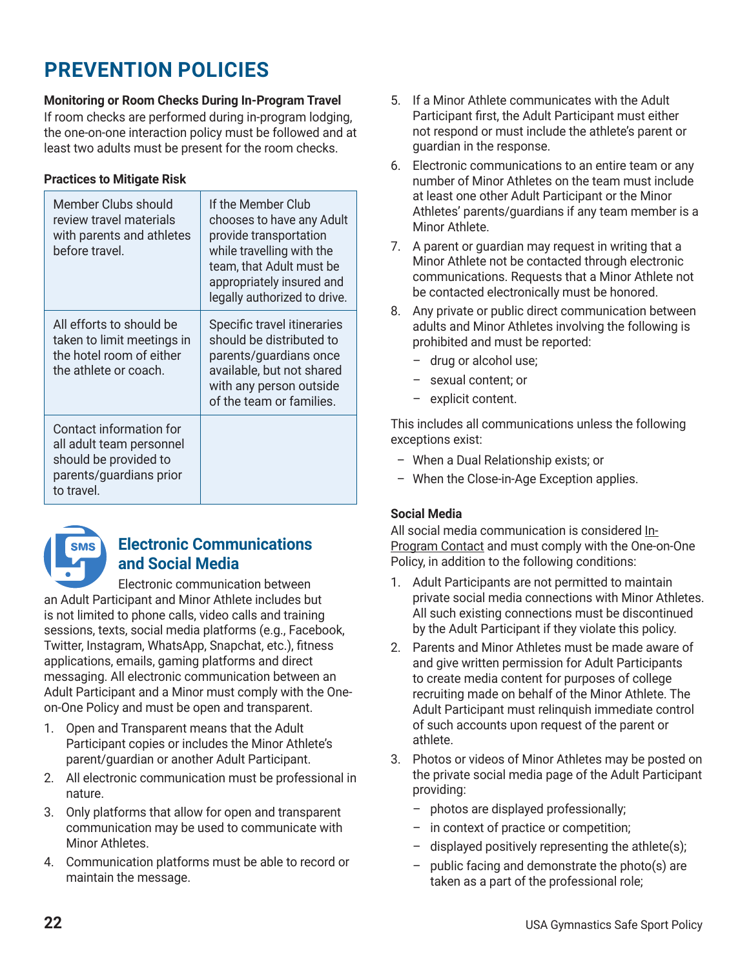### **Monitoring or Room Checks During In-Program Travel**

If room checks are performed during in-program lodging, the one-on-one interaction policy must be followed and at least two adults must be present for the room checks.

### **Practices to Mitigate Risk**

| Member Clubs should<br>review travel materials<br>with parents and athletes<br>before travel.                         | If the Member Club<br>chooses to have any Adult<br>provide transportation<br>while travelling with the<br>team, that Adult must be<br>appropriately insured and<br>legally authorized to drive. |
|-----------------------------------------------------------------------------------------------------------------------|-------------------------------------------------------------------------------------------------------------------------------------------------------------------------------------------------|
| All efforts to should be<br>taken to limit meetings in<br>the hotel room of either<br>the athlete or coach.           | Specific travel itineraries<br>should be distributed to<br>parents/guardians once<br>available, but not shared<br>with any person outside<br>of the team or families.                           |
| Contact information for<br>all adult team personnel<br>should be provided to<br>parents/guardians prior<br>to travel. |                                                                                                                                                                                                 |



# **Electronic Communications and Social Media**

Electronic communication between an Adult Participant and Minor Athlete includes but is not limited to phone calls, video calls and training sessions, texts, social media platforms (e.g., Facebook, Twitter, Instagram, WhatsApp, Snapchat, etc.), fitness applications, emails, gaming platforms and direct messaging. All electronic communication between an Adult Participant and a Minor must comply with the Oneon-One Policy and must be open and transparent.

- 1. Open and Transparent means that the Adult Participant copies or includes the Minor Athlete's parent/guardian or another Adult Participant.
- 2. All electronic communication must be professional in nature.
- 3. Only platforms that allow for open and transparent communication may be used to communicate with Minor Athletes.
- 4. Communication platforms must be able to record or maintain the message.
- 5. If a Minor Athlete communicates with the Adult Participant first, the Adult Participant must either not respond or must include the athlete's parent or guardian in the response.
- 6. Electronic communications to an entire team or any number of Minor Athletes on the team must include at least one other Adult Participant or the Minor Athletes' parents/guardians if any team member is a Minor Athlete.
- 7. A parent or guardian may request in writing that a Minor Athlete not be contacted through electronic communications. Requests that a Minor Athlete not be contacted electronically must be honored.
- 8. Any private or public direct communication between adults and Minor Athletes involving the following is prohibited and must be reported:
	- drug or alcohol use;
	- sexual content; or
	- explicit content.

This includes all communications unless the following exceptions exist:

- When a Dual Relationship exists; or
- When the Close-in-Age Exception applies.

# **Social Media**

All social media communication is considered In-Program Contact and must comply with the One-on-One Policy, in addition to the following conditions:

- 1. Adult Participants are not permitted to maintain private social media connections with Minor Athletes. All such existing connections must be discontinued by the Adult Participant if they violate this policy.
- 2. Parents and Minor Athletes must be made aware of and give written permission for Adult Participants to create media content for purposes of college recruiting made on behalf of the Minor Athlete. The Adult Participant must relinquish immediate control of such accounts upon request of the parent or athlete.
- 3. Photos or videos of Minor Athletes may be posted on the private social media page of the Adult Participant providing:
	- photos are displayed professionally;
	- in context of practice or competition;
	- displayed positively representing the athlete(s);
	- public facing and demonstrate the photo(s) are taken as a part of the professional role;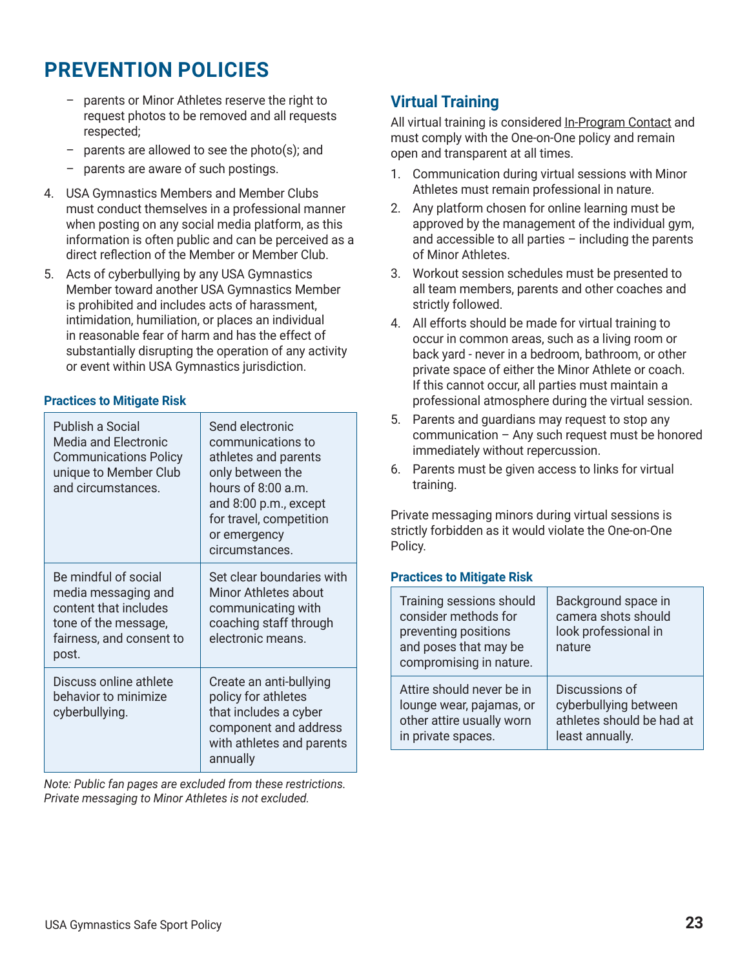- parents or Minor Athletes reserve the right to request photos to be removed and all requests respected;
- parents are allowed to see the photo(s); and
- parents are aware of such postings.
- 4. USA Gymnastics Members and Member Clubs must conduct themselves in a professional manner when posting on any social media platform, as this information is often public and can be perceived as a direct reflection of the Member or Member Club.
- 5. Acts of cyberbullying by any USA Gymnastics Member toward another USA Gymnastics Member is prohibited and includes acts of harassment, intimidation, humiliation, or places an individual in reasonable fear of harm and has the effect of substantially disrupting the operation of any activity or event within USA Gymnastics jurisdiction.

#### **Practices to Mitigate Risk**

| Publish a Social<br>Media and Electronic<br><b>Communications Policy</b><br>unique to Member Club<br>and circumstances.           | Send electronic<br>communications to<br>athletes and parents<br>only between the<br>hours of 8:00 a.m.<br>and 8:00 p.m., except<br>for travel, competition<br>or emergency<br>circumstances. |
|-----------------------------------------------------------------------------------------------------------------------------------|----------------------------------------------------------------------------------------------------------------------------------------------------------------------------------------------|
| Be mindful of social<br>media messaging and<br>content that includes<br>tone of the message,<br>fairness, and consent to<br>post. | Set clear boundaries with<br>Minor Athletes about<br>communicating with<br>coaching staff through<br>electronic means.                                                                       |
| Discuss online athlete<br>behavior to minimize<br>cyberbullying.                                                                  | Create an anti-bullying<br>policy for athletes<br>that includes a cyber<br>component and address<br>with athletes and parents<br>annually                                                    |

*Note: Public fan pages are excluded from these restrictions. Private messaging to Minor Athletes is not excluded.* 

# **Virtual Training**

All virtual training is considered In-Program Contact and must comply with the One-on-One policy and remain open and transparent at all times.

- 1. Communication during virtual sessions with Minor Athletes must remain professional in nature.
- 2. Any platform chosen for online learning must be approved by the management of the individual gym, and accessible to all parties – including the parents of Minor Athletes.
- 3. Workout session schedules must be presented to all team members, parents and other coaches and strictly followed.
- 4. All efforts should be made for virtual training to occur in common areas, such as a living room or back yard - never in a bedroom, bathroom, or other private space of either the Minor Athlete or coach. If this cannot occur, all parties must maintain a professional atmosphere during the virtual session.
- 5. Parents and guardians may request to stop any communication – Any such request must be honored immediately without repercussion.
- 6. Parents must be given access to links for virtual training.

Private messaging minors during virtual sessions is strictly forbidden as it would violate the One-on-One Policy.

#### **Practices to Mitigate Risk**

| Training sessions should<br>consider methods for<br>preventing positions<br>and poses that may be<br>compromising in nature. | Background space in<br>camera shots should<br>look professional in<br>nature |
|------------------------------------------------------------------------------------------------------------------------------|------------------------------------------------------------------------------|
| Attire should never be in                                                                                                    | Discussions of                                                               |
| lounge wear, pajamas, or                                                                                                     | cyberbullying between                                                        |
| other attire usually worn                                                                                                    | athletes should be had at                                                    |
| in private spaces.                                                                                                           | least annually.                                                              |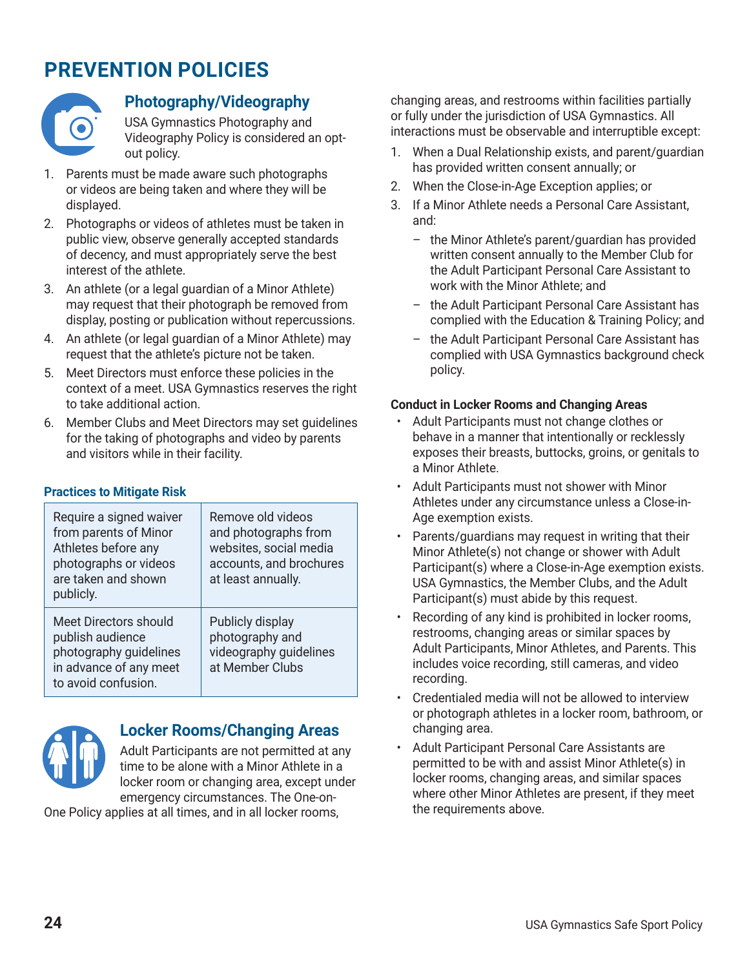

# **Photography/Videography**

USA Gymnastics Photography and Videography Policy is considered an optout policy.

- 1. Parents must be made aware such photographs or videos are being taken and where they will be displayed.
- 2. Photographs or videos of athletes must be taken in public view, observe generally accepted standards of decency, and must appropriately serve the best interest of the athlete.
- 3. An athlete (or a legal guardian of a Minor Athlete) may request that their photograph be removed from display, posting or publication without repercussions.
- 4. An athlete (or legal guardian of a Minor Athlete) may request that the athlete's picture not be taken.
- 5. Meet Directors must enforce these policies in the context of a meet. USA Gymnastics reserves the right to take additional action.
- 6. Member Clubs and Meet Directors may set guidelines for the taking of photographs and video by parents and visitors while in their facility.

#### **Practices to Mitigate Risk**

| Require a signed waiver<br>from parents of Minor<br>Athletes before any<br>photographs or videos<br>are taken and shown<br>publicly. | Remove old videos<br>and photographs from<br>websites, social media<br>accounts, and brochures<br>at least annually. |
|--------------------------------------------------------------------------------------------------------------------------------------|----------------------------------------------------------------------------------------------------------------------|
| Meet Directors should<br>publish audience<br>photography guidelines<br>in advance of any meet<br>to avoid confusion.                 | Publicly display<br>photography and<br>videography guidelines<br>at Member Clubs                                     |



# **Locker Rooms/Changing Areas**

Adult Participants are not permitted at any time to be alone with a Minor Athlete in a locker room or changing area, except under emergency circumstances. The One-on-

One Policy applies at all times, and in all locker rooms,

changing areas, and restrooms within facilities partially or fully under the jurisdiction of USA Gymnastics. All interactions must be observable and interruptible except:

- 1. When a Dual Relationship exists, and parent/guardian has provided written consent annually; or
- 2. When the Close-in-Age Exception applies; or
- 3. If a Minor Athlete needs a Personal Care Assistant, and:
	- the Minor Athlete's parent/guardian has provided written consent annually to the Member Club for the Adult Participant Personal Care Assistant to work with the Minor Athlete; and
	- the Adult Participant Personal Care Assistant has complied with the Education & Training Policy; and
	- the Adult Participant Personal Care Assistant has complied with USA Gymnastics background check policy.

#### **Conduct in Locker Rooms and Changing Areas**

- Adult Participants must not change clothes or behave in a manner that intentionally or recklessly exposes their breasts, buttocks, groins, or genitals to a Minor Athlete.
- Adult Participants must not shower with Minor Athletes under any circumstance unless a Close-in-Age exemption exists.
- Parents/guardians may request in writing that their Minor Athlete(s) not change or shower with Adult Participant(s) where a Close-in-Age exemption exists. USA Gymnastics, the Member Clubs, and the Adult Participant(s) must abide by this request.
- Recording of any kind is prohibited in locker rooms, restrooms, changing areas or similar spaces by Adult Participants, Minor Athletes, and Parents. This includes voice recording, still cameras, and video recording.
- Credentialed media will not be allowed to interview or photograph athletes in a locker room, bathroom, or changing area.
- Adult Participant Personal Care Assistants are permitted to be with and assist Minor Athlete(s) in locker rooms, changing areas, and similar spaces where other Minor Athletes are present, if they meet the requirements above.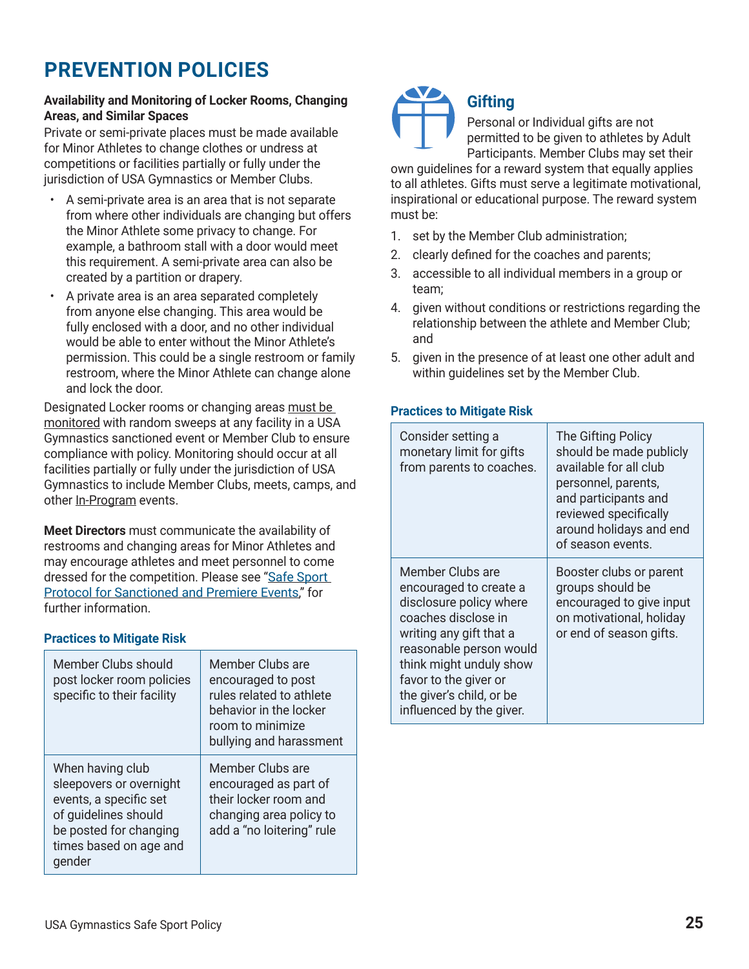### **Availability and Monitoring of Locker Rooms, Changing Areas, and Similar Spaces**

Private or semi-private places must be made available for Minor Athletes to change clothes or undress at competitions or facilities partially or fully under the jurisdiction of USA Gymnastics or Member Clubs.

- A semi-private area is an area that is not separate from where other individuals are changing but offers the Minor Athlete some privacy to change. For example, a bathroom stall with a door would meet this requirement. A semi-private area can also be created by a partition or drapery.
- A private area is an area separated completely from anyone else changing. This area would be fully enclosed with a door, and no other individual would be able to enter without the Minor Athlete's permission. This could be a single restroom or family restroom, where the Minor Athlete can change alone and lock the door.

Designated Locker rooms or changing areas must be monitored with random sweeps at any facility in a USA Gymnastics sanctioned event or Member Club to ensure compliance with policy. Monitoring should occur at all facilities partially or fully under the jurisdiction of USA Gymnastics to include Member Clubs, meets, camps, and other In-Program events.

**Meet Directors** must communicate the availability of restrooms and changing areas for Minor Athletes and may encourage athletes and meet personnel to come dressed for the competition. Please see "Safe Sport [Protocol for Sanctioned and Premiere Events](https://usagym.org/PDFs/safesport/events_protocol.pdf)," for further information.

# **Practices to Mitigate Risk**

| Member Clubs should<br>post locker room policies<br>specific to their facility                                                                              | Member Clubs are<br>encouraged to post<br>rules related to athlete<br>behavior in the locker<br>room to minimize<br>bullying and harassment |
|-------------------------------------------------------------------------------------------------------------------------------------------------------------|---------------------------------------------------------------------------------------------------------------------------------------------|
| When having club<br>sleepovers or overnight<br>events, a specific set<br>of guidelines should<br>be posted for changing<br>times based on age and<br>gender | Member Clubs are<br>encouraged as part of<br>their locker room and<br>changing area policy to<br>add a "no loitering" rule                  |



# **Gifting**

Personal or Individual gifts are not permitted to be given to athletes by Adult Participants. Member Clubs may set their

own guidelines for a reward system that equally applies to all athletes. Gifts must serve a legitimate motivational, inspirational or educational purpose. The reward system must be:

- 1. set by the Member Club administration;
- 2. clearly defined for the coaches and parents;
- 3. accessible to all individual members in a group or team;
- 4. given without conditions or restrictions regarding the relationship between the athlete and Member Club; and
- 5. given in the presence of at least one other adult and within guidelines set by the Member Club.

#### **Practices to Mitigate Risk**

| Consider setting a<br>monetary limit for gifts<br>from parents to coaches.                                                                                                                                                                                     | The Gifting Policy<br>should be made publicly<br>available for all club<br>personnel, parents,<br>and participants and<br>reviewed specifically<br>around holidays and end<br>of season events. |
|----------------------------------------------------------------------------------------------------------------------------------------------------------------------------------------------------------------------------------------------------------------|-------------------------------------------------------------------------------------------------------------------------------------------------------------------------------------------------|
| Member Clubs are<br>encouraged to create a<br>disclosure policy where<br>coaches disclose in<br>writing any gift that a<br>reasonable person would<br>think might unduly show<br>favor to the giver or<br>the giver's child, or be<br>influenced by the giver. | Booster clubs or parent<br>groups should be<br>encouraged to give input<br>on motivational, holiday<br>or end of season gifts.                                                                  |